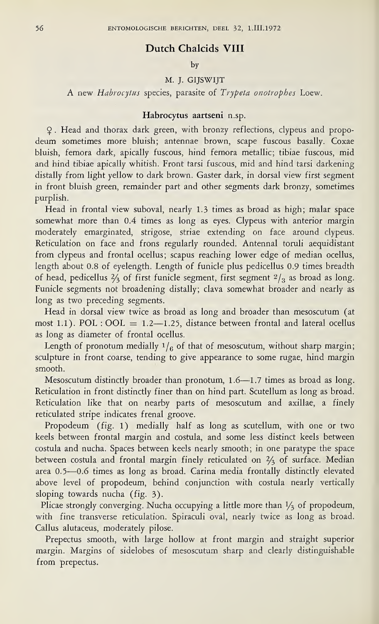## Dutch Chalcids VIII

by

## M. J. GIJSWIJT

A new Habrocytus species, parasite of Trypeta onotrophes Loew.

## Habrocytus aartseni n.sp.

9 . Head and thorax dark green, with bronzy reflections, ciypeus and propodeum sometimes more bluish; antennae brown, scape fuscous basally. Coxae bluish, femora dark, apically fuscous, hind femora metallic; tibiae fuscous, mid and hind tibiae apically whitish. Front tarsi fuscous, mid and hind tarsi darkening distally from light yellow to dark brown. Gaster dark, in dorsal view first segment in front bluish green, remainder part and other segments dark bronzy, sometimes purplish.

Head in frontal view suboval, nearly 1.3 times as broad as high; malar space somewhat more than 0.4 times as long as eyes. Clypeus with anterior margin moderately emarginated, strigose, striae extending on face around ciypeus. Reticulation on face and frons regularly rounded. Antennal toruli aequidistant from clypeus and frontal ocellus; scapus reaching lower edge of median ocellus, length about 0.8 of eyelength. Length of funicle plus pedicellus 0.9 times breadth of head, pedicellus  $\frac{2}{3}$  of first funicle segment, first segment  $\frac{2}{3}$  as broad as long. Funicle segments not broadening distally; clava somewhat broader and nearly as long as two preceding segments.

Head in dorsal view twice as broad as long and broader than mesoscutum (at most 1.1). POL : OOL =  $1.2$ -1.25, distance between frontal and lateral ocellus as long as diameter of frontal ocellus.

Length of pronotum medially  $1/6$  of that of mesoscutum, without sharp margin; sculpture in front coarse, tending to give appearance to some rugae, hind margin smooth.

Mesoscutum distinctly broader than pronotum, 1.6—1.7 times as broad as long. Reticulation in front distinctly finer than on hind part. Scutellum as long as broad. Reticulation like that on nearby parts of mesoscutum and axillae, a finely reticulated stripe indicates frenal groove.

Propodeum (fig. 1) medially half as long as scutellum, with one or two keels between frontal margin and costula, and some less distinct keels between costula and nucha. Spaces between keels nearly smooth; in one paratype the space between costula and frontal margin finely reticulated on  $2/3$  of surface. Median area 0.5—0.6 times as long as broad. Carina media frontally distinctly elevated above level of propodeum, behind conjunction with costula nearly vertically sloping towards nucha (fig. 3).

Plicae strongly converging. Nucha occupying a little more than  $\frac{1}{3}$  of propodeum, with fine transverse reticulation. Spiraculi oval, nearly twice as long as broad. Callus alutaceus, moderately pilose.

Prepectus smooth, with large hollow at front margin and straight superior margin. Margins of sidelobes of mesoscutum sharp and clearly distinguishable from prepectus.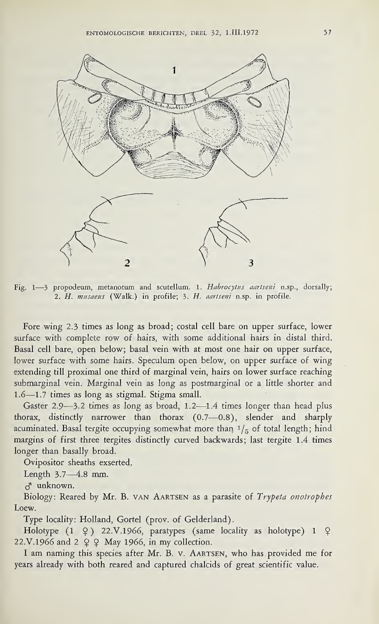

Fig. 1-3 propodeum, metanotum and scutellum. 1. Habrocytus aartseni n.sp., dorsally; 2. H. musaeus (Walk.) in profile; 3. H. aartseni n.sp. in profile.

Fore wing 2.3 times as long as broad; costal cell bare on upper surface, lower surface with complete row of hairs, with some additional hairs in distal third. Basal cell bare, open below; basal vein with at most one hair on upper surface, lower surface with some hairs. Speculum open below, on upper surface of wing extending till proximal one third of marginal vein, hairs on lower surface reaching submarginal vein. Marginal vein as long as postmarginal or a little shorter and 1.6—1.7 times as long as stigmal. Stigma small.

Gaster 2.9—3.2 times as long as broad, 1.2—1.4 times longer than head plus thorax, distinctly narrower than thorax (0.7—0.8), slender and sharply acuminated. Basal tergite occupying somewhat more than  $1/5$  of total length; hind margins of first three tergites distinctly curved backwards; last tergite 1.4 times longer than basally broad.

Ovipositor sheaths exserted.

Length 3.7—4.8 mm.

 $\delta$  unknown.

Biology: Reared by Mr. B. van Aartsen as a parasite of Trypeta onotrophes Loew.

Type locality: Holland, Gortel (prov. of Gelderland).

Holotype  $(1 \t9)$  22.V.1966, paratypes (same locality as holotype) 1  $\varphi$ 22.V.1966 and 2  $\varphi \varphi$  May 1966, in my collection.

<sup>I</sup> am naming this species after Mr. B. v. Aartsen, who has provided me for years already with both reared and captured chalcids of great scientific value.